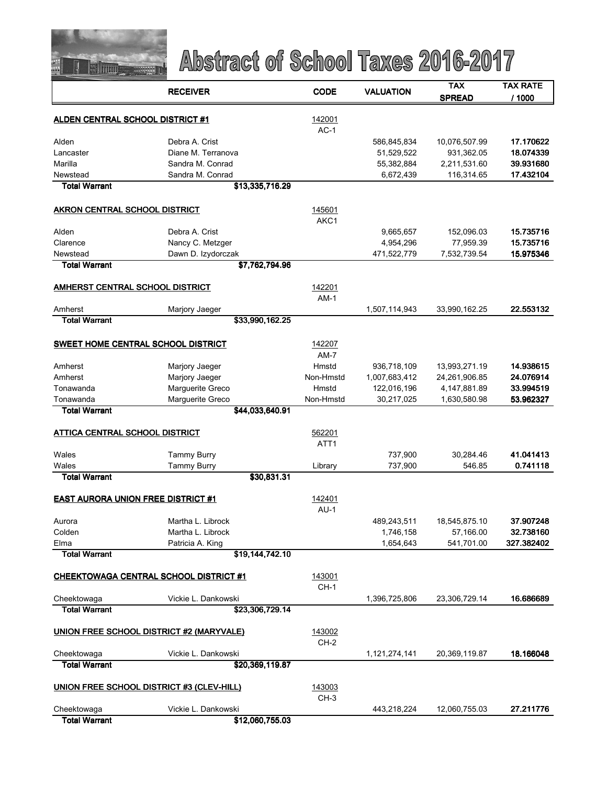

|                                           | <b>RECEIVER</b>                           | <b>CODE</b>      | <b>VALUATION</b> | TAX           | TAX RATE   |  |
|-------------------------------------------|-------------------------------------------|------------------|------------------|---------------|------------|--|
|                                           |                                           |                  |                  | <b>SPREAD</b> | / 1000     |  |
|                                           |                                           |                  |                  |               |            |  |
| <b>ALDEN CENTRAL SCHOOL DISTRICT #1</b>   |                                           | 142001<br>$AC-1$ |                  |               |            |  |
| Alden                                     | Debra A. Crist                            |                  | 586,845,834      | 10,076,507.99 | 17.170622  |  |
| Lancaster                                 | Diane M. Terranova                        |                  | 51,529,522       | 931,362.05    | 18.074339  |  |
| Marilla                                   | Sandra M. Conrad                          |                  | 55,382,884       | 2,211,531.60  | 39.931680  |  |
| Newstead                                  | Sandra M. Conrad                          |                  | 6,672,439        | 116,314.65    | 17.432104  |  |
| <b>Total Warrant</b>                      | \$13,335,716.29                           |                  |                  |               |            |  |
|                                           |                                           |                  |                  |               |            |  |
| <b>AKRON CENTRAL SCHOOL DISTRICT</b>      |                                           | 145601<br>AKC1   |                  |               |            |  |
| Alden                                     | Debra A. Crist                            |                  | 9,665,657        | 152,096.03    | 15.735716  |  |
| Clarence                                  | Nancy C. Metzger                          |                  | 4,954,296        | 77,959.39     | 15.735716  |  |
| Newstead                                  | Dawn D. Izydorczak                        |                  | 471,522,779      | 7,532,739.54  | 15.975346  |  |
| <b>Total Warrant</b>                      | \$7,762,794.96                            |                  |                  |               |            |  |
|                                           |                                           |                  |                  |               |            |  |
| <b>AMHERST CENTRAL SCHOOL DISTRICT</b>    |                                           | 142201           |                  |               |            |  |
|                                           |                                           | $AM-1$           |                  |               |            |  |
| Amherst<br><b>Total Warrant</b>           | Marjory Jaeger<br>\$33,990,162.25         |                  | 1,507,114,943    | 33,990,162.25 | 22.553132  |  |
|                                           |                                           |                  |                  |               |            |  |
|                                           | SWEET HOME CENTRAL SCHOOL DISTRICT        | 142207           |                  |               |            |  |
|                                           |                                           | $AM-7$           |                  |               |            |  |
| Amherst                                   | Marjory Jaeger                            | Hmstd            | 936,718,109      | 13,993,271.19 | 14.938615  |  |
| Amherst                                   | Marjory Jaeger                            | Non-Hmstd        | 1,007,683,412    | 24,261,906.85 | 24.076914  |  |
| Tonawanda                                 | Marguerite Greco                          | Hmstd            | 122,016,196      | 4,147,881.89  | 33.994519  |  |
| Tonawanda                                 | Marguerite Greco                          | Non-Hmstd        | 30,217,025       | 1,630,580.98  | 53.962327  |  |
| <b>Total Warrant</b>                      | \$44,033,640.91                           |                  |                  |               |            |  |
|                                           |                                           |                  |                  |               |            |  |
| <b>ATTICA CENTRAL SCHOOL DISTRICT</b>     |                                           | 562201           |                  |               |            |  |
|                                           |                                           | ATT <sub>1</sub> |                  |               |            |  |
| Wales                                     | <b>Tammy Burry</b>                        |                  | 737,900          | 30,284.46     | 41.041413  |  |
| Wales                                     | <b>Tammy Burry</b>                        | Library          | 737,900          | 546.85        | 0.741118   |  |
| <b>Total Warrant</b>                      | \$30,831.31                               |                  |                  |               |            |  |
| <b>EAST AURORA UNION FREE DISTRICT #1</b> |                                           | 142401           |                  |               |            |  |
|                                           |                                           | $AU-1$           |                  |               |            |  |
| Aurora                                    | Martha L. Librock                         |                  | 489,243,511      | 18,545,875.10 | 37.907248  |  |
| Colden                                    | Martha L. Librock                         |                  | 1,746,158        | 57,166.00     | 32.738160  |  |
| Elma                                      | Patricia A. King                          |                  | 1,654,643        | 541,701.00    | 327.382402 |  |
| <b>Total Warrant</b>                      | \$19,144,742.10                           |                  |                  |               |            |  |
|                                           | CHEEKTOWAGA CENTRAL SCHOOL DISTRICT #1    | 143001           |                  |               |            |  |
|                                           |                                           | $CH-1$           |                  |               |            |  |
| Cheektowaga                               | Vickie L. Dankowski                       |                  | 1,396,725,806    | 23,306,729.14 | 16.686689  |  |
| <b>Total Warrant</b>                      | \$23,306,729.14                           |                  |                  |               |            |  |
|                                           |                                           |                  |                  |               |            |  |
|                                           | UNION FREE SCHOOL DISTRICT #2 (MARYVALE)  | 143002           |                  |               |            |  |
| Cheektowaga                               | Vickie L. Dankowski                       | $CH-2$           | 1,121,274,141    | 20,369,119.87 | 18.166048  |  |
| <b>Total Warrant</b>                      | \$20,369,119.87                           |                  |                  |               |            |  |
|                                           |                                           |                  |                  |               |            |  |
|                                           | UNION FREE SCHOOL DISTRICT #3 (CLEV-HILL) | 143003           |                  |               |            |  |
|                                           |                                           | CH-3             |                  |               |            |  |
| Cheektowaga<br><b>Total Warrant</b>       | Vickie L. Dankowski<br>\$12,060,755.03    |                  | 443,218,224      | 12,060,755.03 | 27.211776  |  |
|                                           |                                           |                  |                  |               |            |  |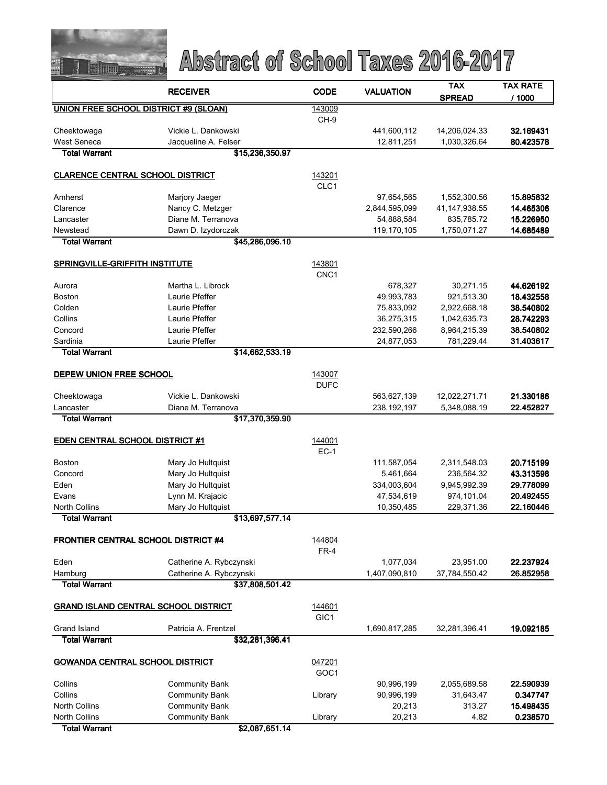

| <b>RECEIVER</b>                              |                                                | <b>CODE</b>                | <b>VALUATION</b>          | <b>TAX</b>                 | <b>TAX RATE</b>        |
|----------------------------------------------|------------------------------------------------|----------------------------|---------------------------|----------------------------|------------------------|
|                                              |                                                |                            |                           | <b>SPREAD</b>              | / 1000                 |
| <b>UNION FREE SCHOOL DISTRICT #9 (SLOAN)</b> |                                                | 143009                     |                           |                            |                        |
|                                              |                                                | $CH-9$                     |                           |                            |                        |
| Cheektowaga                                  | Vickie L. Dankowski                            |                            | 441,600,112               | 14,206,024.33              | 32.169431              |
| West Seneca<br><b>Total Warrant</b>          | Jacqueline A. Felser                           |                            | 12,811,251                | 1,030,326.64               | 80.423578              |
|                                              | \$15,236,350.97                                |                            |                           |                            |                        |
| <b>CLARENCE CENTRAL SCHOOL DISTRICT</b>      |                                                | 143201                     |                           |                            |                        |
|                                              |                                                | CLC1                       |                           |                            |                        |
| Amherst                                      | Marjory Jaeger                                 |                            | 97,654,565                | 1,552,300.56               | 15.895832              |
| Clarence                                     | Nancy C. Metzger                               |                            | 2,844,595,099             | 41, 147, 938.55            | 14.465306              |
| Lancaster                                    | Diane M. Terranova                             |                            | 54,888,584                | 835,785.72                 | 15.226950              |
| Newstead                                     | Dawn D. Izydorczak                             |                            | 119,170,105               | 1,750,071.27               | 14.685489              |
| <b>Total Warrant</b>                         | \$45,286,096.10                                |                            |                           |                            |                        |
|                                              |                                                |                            |                           |                            |                        |
| SPRINGVILLE-GRIFFITH INSTITUTE               |                                                | 143801<br>CNC <sub>1</sub> |                           |                            |                        |
| Aurora                                       | Martha L. Librock                              |                            | 678,327                   | 30,271.15                  | 44.626192              |
| <b>Boston</b>                                | Laurie Pfeffer                                 |                            | 49,993,783                | 921,513.30                 | 18.432558              |
| Colden                                       | Laurie Pfeffer                                 |                            | 75,833,092                | 2,922,668.18               | 38.540802              |
| Collins                                      | Laurie Pfeffer                                 |                            | 36,275,315                | 1,042,635.73               | 28.742293              |
| Concord                                      | Laurie Pfeffer                                 |                            | 232,590,266               | 8,964,215.39               | 38.540802              |
| Sardinia                                     | Laurie Pfeffer                                 |                            | 24,877,053                | 781,229.44                 | 31.403617              |
| <b>Total Warrant</b>                         | \$14,662,533.19                                |                            |                           |                            |                        |
|                                              |                                                |                            |                           |                            |                        |
| DEPEW UNION FREE SCHOOL                      |                                                | 143007<br><b>DUFC</b>      |                           |                            |                        |
| Cheektowaga                                  | Vickie L. Dankowski                            |                            | 563,627,139               | 12,022,271.71              | 21.330186              |
| Lancaster                                    | Diane M. Terranova                             |                            | 238, 192, 197             | 5,348,088.19               | 22.452827              |
| <b>Total Warrant</b>                         | \$17,370,359.90                                |                            |                           |                            |                        |
|                                              |                                                |                            |                           |                            |                        |
| <b>EDEN CENTRAL SCHOOL DISTRICT #1</b>       |                                                | 144001                     |                           |                            |                        |
|                                              |                                                | $EC-1$                     |                           |                            |                        |
| <b>Boston</b>                                | Mary Jo Hultquist                              |                            | 111,587,054               | 2,311,548.03               | 20.715199              |
| Concord                                      | Mary Jo Hultquist                              |                            | 5,461,664                 | 236,564.32                 | 43.313598              |
| Eden<br>Evans                                | Mary Jo Hultquist<br>Lynn M. Krajacic          |                            | 334,003,604<br>47,534,619 | 9,945,992.39<br>974,101.04 | 29.778099<br>20.492455 |
| <b>North Collins</b>                         | Mary Jo Hultquist                              |                            | 10,350,485                | 229,371.36                 | 22.160446              |
| <b>Total Warrant</b>                         | \$13,697,577.14                                |                            |                           |                            |                        |
|                                              |                                                |                            |                           |                            |                        |
| <b>FRONTIER CENTRAL SCHOOL DISTRICT #4</b>   |                                                | 144804                     |                           |                            |                        |
|                                              |                                                | $FR-4$                     |                           |                            |                        |
| Eden                                         | Catherine A. Rybczynski                        |                            | 1,077,034                 | 23,951.00                  | 22.237924              |
| Hamburg                                      | Catherine A. Rybczynski                        |                            | 1,407,090,810             | 37,784,550.42              | 26.852958              |
| <b>Total Warrant</b>                         | \$37,808,501.42                                |                            |                           |                            |                        |
| <b>GRAND ISLAND CENTRAL SCHOOL DISTRICT</b>  |                                                | 144601                     |                           |                            |                        |
|                                              |                                                | GIC <sub>1</sub>           |                           |                            |                        |
| Grand Island                                 | Patricia A. Frentzel                           |                            | 1,690,817,285             | 32,281,396.41              | 19.092185              |
| <b>Total Warrant</b>                         | \$32,281,396.41                                |                            |                           |                            |                        |
|                                              |                                                |                            |                           |                            |                        |
| <b>GOWANDA CENTRAL SCHOOL DISTRICT</b>       |                                                | 047201                     |                           |                            |                        |
|                                              |                                                | GOC <sub>1</sub>           |                           |                            |                        |
| Collins<br>Collins                           | <b>Community Bank</b>                          |                            | 90,996,199<br>90,996,199  | 2,055,689.58<br>31,643.47  | 22.590939<br>0.347747  |
| <b>North Collins</b>                         | <b>Community Bank</b><br><b>Community Bank</b> | Library                    | 20,213                    | 313.27                     | 15.498435              |
| <b>North Collins</b>                         | <b>Community Bank</b>                          | Library                    | 20,213                    | 4.82                       | 0.238570               |
| <b>Total Warrant</b>                         | \$2,087,651.14                                 |                            |                           |                            |                        |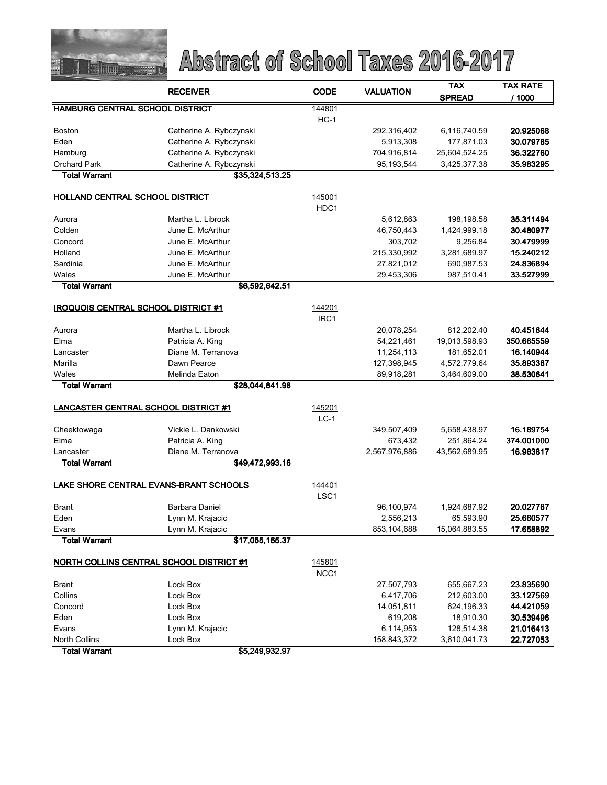

|                                             | <b>RECEIVER</b>         | <b>CODE</b>      | <b>VALUATION</b> | <b>TAX</b>    | <b>TAX RATE</b> |
|---------------------------------------------|-------------------------|------------------|------------------|---------------|-----------------|
|                                             |                         |                  |                  | <b>SPREAD</b> | 11000           |
| <b>HAMBURG CENTRAL SCHOOL DISTRICT</b>      |                         | 144801           |                  |               |                 |
|                                             |                         | $HC-1$           |                  |               |                 |
| Boston                                      | Catherine A. Rybczynski |                  | 292,316,402      | 6,116,740.59  | 20.925068       |
| Eden                                        | Catherine A. Rybczynski |                  | 5,913,308        | 177,871.03    | 30.079785       |
| Hamburg                                     | Catherine A. Rybczynski |                  | 704,916,814      | 25,604,524.25 | 36.322760       |
| <b>Orchard Park</b>                         | Catherine A. Rybczynski |                  | 95, 193, 544     | 3,425,377.38  | 35.983295       |
| <b>Total Warrant</b>                        | \$35,324,513.25         |                  |                  |               |                 |
| HOLLAND CENTRAL SCHOOL DISTRICT             |                         | 145001           |                  |               |                 |
|                                             |                         | HDC1             |                  |               |                 |
| Aurora                                      | Martha L. Librock       |                  | 5,612,863        | 198,198.58    | 35.311494       |
| Colden                                      | June E. McArthur        |                  | 46,750,443       | 1,424,999.18  | 30.480977       |
| Concord                                     | June E. McArthur        |                  | 303,702          | 9,256.84      | 30.479999       |
| Holland                                     | June E. McArthur        |                  | 215,330,992      | 3,281,689.97  | 15.240212       |
| Sardinia                                    | June E. McArthur        |                  | 27,821,012       | 690,987.53    | 24.836894       |
| Wales                                       | June E. McArthur        |                  | 29,453,306       | 987,510.41    | 33.527999       |
| <b>Total Warrant</b>                        | \$6,592,642.51          |                  |                  |               |                 |
|                                             |                         |                  |                  |               |                 |
| <b>IROQUOIS CENTRAL SCHOOL DISTRICT #1</b>  |                         | 144201           |                  |               |                 |
|                                             |                         | IRC <sub>1</sub> |                  |               |                 |
| Aurora                                      | Martha L. Librock       |                  | 20,078,254       | 812,202.40    | 40.451844       |
| Elma                                        | Patricia A. King        |                  | 54,221,461       | 19,013,598.93 | 350.665559      |
| Lancaster                                   | Diane M. Terranova      |                  | 11,254,113       | 181,652.01    | 16.140944       |
| Marilla                                     | Dawn Pearce             |                  | 127,398,945      | 4,572,779.64  | 35.893387       |
| Wales                                       | Melinda Eaton           |                  | 89,918,281       | 3,464,609.00  | 38.530641       |
| <b>Total Warrant</b>                        | \$28,044,841.98         |                  |                  |               |                 |
| <b>LANCASTER CENTRAL SCHOOL DISTRICT #1</b> |                         | 145201           |                  |               |                 |
|                                             |                         | $LC-1$           |                  |               |                 |
| Cheektowaga                                 | Vickie L. Dankowski     |                  | 349,507,409      | 5,658,438.97  | 16.189754       |
| Elma                                        | Patricia A. King        |                  | 673,432          | 251,864.24    | 374.001000      |
| Lancaster                                   | Diane M. Terranova      |                  | 2,567,976,886    | 43,562,689.95 | 16.963817       |
| <b>Total Warrant</b>                        | \$49,472,993.16         |                  |                  |               |                 |
| LAKE SHORE CENTRAL EVANS-BRANT SCHOOLS      |                         | 144401           |                  |               |                 |
|                                             |                         | LSC <sub>1</sub> |                  |               |                 |
| <b>Brant</b>                                | Barbara Daniel          |                  | 96,100,974       | 1,924,687.92  | 20.027767       |
| Eden                                        | Lynn M. Krajacic        |                  | 2,556,213        | 65,593.90     | 25.660577       |
| Evans                                       | Lynn M. Krajacic        |                  | 853,104,688      | 15,064,883.55 | 17.658892       |
| <b>Total Warrant</b>                        | \$17,055,165.37         |                  |                  |               |                 |
|                                             |                         | 145801           |                  |               |                 |
| NORTH COLLINS CENTRAL SCHOOL DISTRICT #1    |                         | NCC1             |                  |               |                 |
| <b>Brant</b>                                | Lock Box                |                  | 27,507,793       | 655,667.23    | 23.835690       |
| Collins                                     | Lock Box                |                  | 6,417,706        | 212,603.00    | 33.127569       |
| Concord                                     | Lock Box                |                  | 14,051,811       | 624,196.33    | 44.421059       |
| Eden                                        | Lock Box                |                  | 619,208          | 18,910.30     | 30.539496       |
| Evans                                       | Lynn M. Krajacic        |                  | 6,114,953        | 128,514.38    | 21.016413       |
| North Collins                               | Lock Box                |                  | 158,843,372      | 3,610,041.73  | 22.727053       |
| <b>Total Warrant</b>                        | \$5,249,932.97          |                  |                  |               |                 |
|                                             |                         |                  |                  |               |                 |